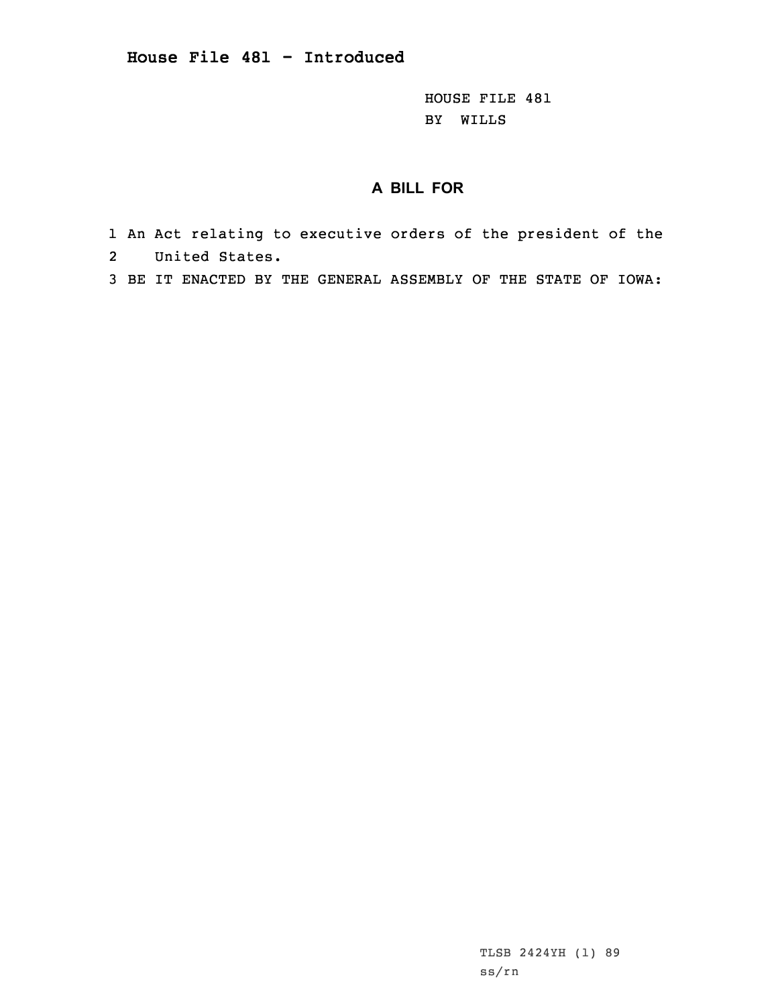HOUSE FILE 481 BY WILLS

## **A BILL FOR**

- 1 An Act relating to executive orders of the president of the 2United States.
- 3 BE IT ENACTED BY THE GENERAL ASSEMBLY OF THE STATE OF IOWA:

TLSB 2424YH (1) 89 ss/rn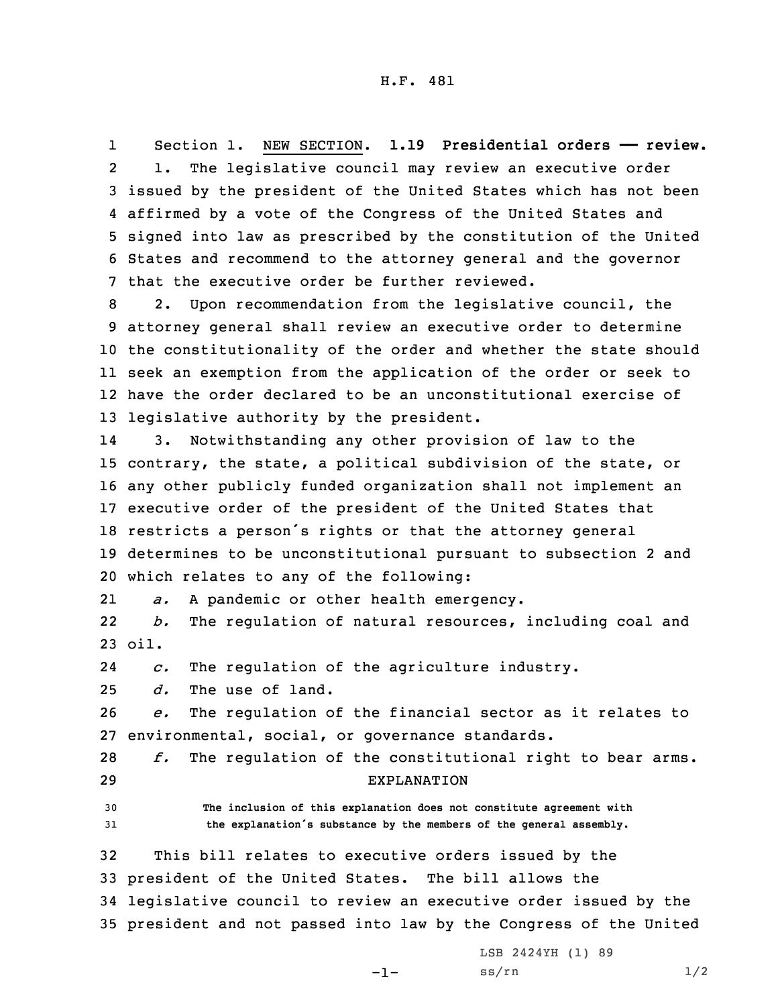1 Section 1. NEW SECTION. **1.19 Presidential orders —— review.** 2 1. The legislative council may review an executive order 3 issued by the president of the United States which has not been 4 affirmed by <sup>a</sup> vote of the Congress of the United States and 5 signed into law as prescribed by the constitution of the United 6 States and recommend to the attorney general and the governor 7 that the executive order be further reviewed.

 2. Upon recommendation from the legislative council, the attorney general shall review an executive order to determine the constitutionality of the order and whether the state should seek an exemption from the application of the order or seek to have the order declared to be an unconstitutional exercise of legislative authority by the president.

14 3. Notwithstanding any other provision of law to the contrary, the state, <sup>a</sup> political subdivision of the state, or any other publicly funded organization shall not implement an executive order of the president of the United States that restricts <sup>a</sup> person's rights or that the attorney general determines to be unconstitutional pursuant to subsection 2 and which relates to any of the following:

21*a.* <sup>A</sup> pandemic or other health emergency.

22 *b.* The regulation of natural resources, including coal and 23 oil.

24*c.* The regulation of the agriculture industry.

25 *d.* The use of land.

26 *e.* The regulation of the financial sector as it relates to 27 environmental, social, or governance standards.

28 *f.* The regulation of the constitutional right to bear arms. 29 EXPLANATION

30 **The inclusion of this explanation does not constitute agreement with** <sup>31</sup> **the explanation's substance by the members of the general assembly.**

 This bill relates to executive orders issued by the president of the United States. The bill allows the legislative council to review an executive order issued by the president and not passed into law by the Congress of the United

-1-

LSB 2424YH (1) 89  $ss/rn$  1/2